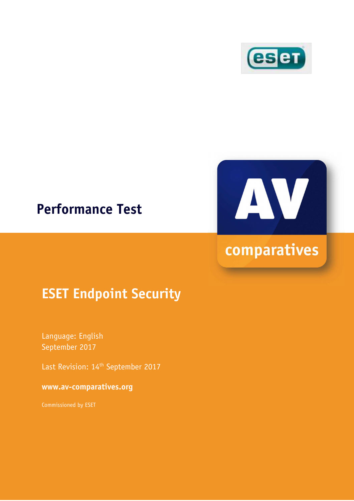

## **Performance Test**



# comparatives

## **ESET Endpoint Security**

Language: English September 2017

Last Revision: 14<sup>th</sup> September 2017

**www.av-comparatives.org** 

Commissioned by ESET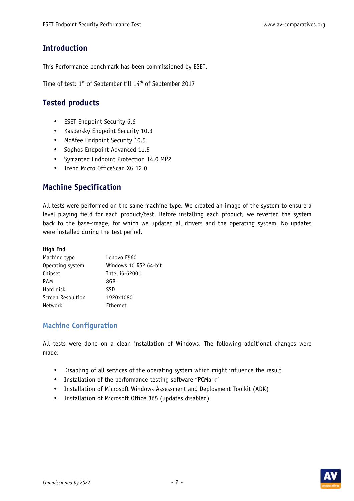## **Introduction**

This Performance benchmark has been commissioned by ESET.

Time of test: 1st of September till 14th of September 2017

## **Tested products**

- ESET Endpoint Security 6.6
- Kaspersky Endpoint Security 10.3
- McAfee Endpoint Security 10.5
- Sophos Endpoint Advanced 11.5
- Symantec Endpoint Protection 14.0 MP2
- Trend Micro OfficeScan XG 12.0

## **Machine Specification**

All tests were performed on the same machine type. We created an image of the system to ensure a level playing field for each product/test. Before installing each product, we reverted the system back to the base-image, for which we updated all drivers and the operating system. No updates were installed during the test period.

#### **High End**

| Machine type      | Lenovo E560           |
|-------------------|-----------------------|
| Operating system  | Windows 10 RS2 64-bit |
| Chipset           | Intel i5-6200U        |
| RAM               | 8GB                   |
| Hard disk         | <b>SSD</b>            |
| Screen Resolution | 1920x1080             |
| <b>Network</b>    | Ethernet              |

#### **Machine Configuration**

All tests were done on a clean installation of Windows. The following additional changes were made:

- Disabling of all services of the operating system which might influence the result
- Installation of the performance-testing software "PCMark"
- Installation of Microsoft Windows Assessment and Deployment Toolkit (ADK)
- Installation of Microsoft Office 365 (updates disabled)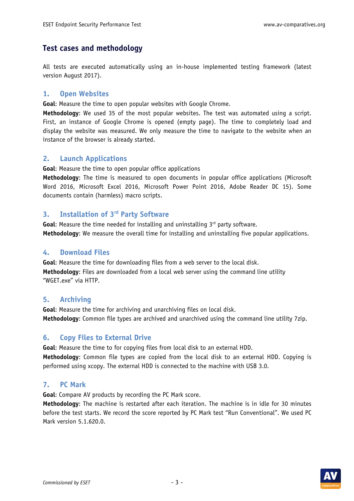## **Test cases and methodology**

All tests are executed automatically using an in-house implemented testing framework (latest version August 2017).

#### **1. Open Websites**

**Goal**: Measure the time to open popular websites with Google Chrome.

**Methodology**: We used 35 of the most popular websites. The test was automated using a script. First, an instance of Google Chrome is opened (empty page). The time to completely load and display the website was measured. We only measure the time to navigate to the website when an instance of the browser is already started.

#### **2. Launch Applications**

**Goal**: Measure the time to open popular office applications

**Methodology**: The time is measured to open documents in popular office applications (Microsoft Word 2016, Microsoft Excel 2016, Microsoft Power Point 2016, Adobe Reader DC 15). Some documents contain (harmless) macro scripts.

#### **3. Installation of 3rd Party Software**

Goal: Measure the time needed for installing and uninstalling 3<sup>rd</sup> party software. **Methodology**: We measure the overall time for installing and uninstalling five popular applications.

#### **4. Download Files**

**Goal**: Measure the time for downloading files from a web server to the local disk. **Methodology**: Files are downloaded from a local web server using the command line utility "WGET.exe" via HTTP.

#### **5. Archiving**

**Goal**: Measure the time for archiving and unarchiving files on local disk. **Methodology**: Common file types are archived and unarchived using the command line utility 7zip.

#### **6. Copy Files to External Drive**

**Goal**: Measure the time to for copying files from local disk to an external HDD.

**Methodology**: Common file types are copied from the local disk to an external HDD. Copying is performed using xcopy. The external HDD is connected to the machine with USB 3.0.

#### **7. PC Mark**

**Goal**: Compare AV products by recording the PC Mark score.

**Methodology**: The machine is restarted after each iteration. The machine is in idle for 30 minutes before the test starts. We record the score reported by PC Mark test "Run Conventional". We used PC Mark version 5.1.620.0.

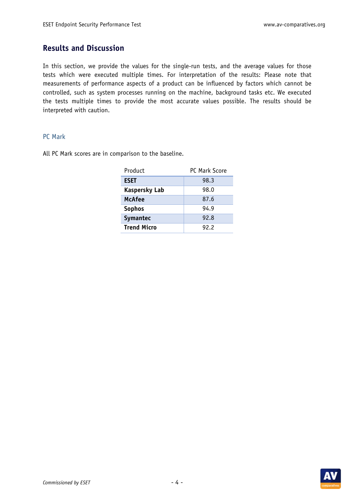## **Results and Discussion**

In this section, we provide the values for the single-run tests, and the average values for those tests which were executed multiple times. For interpretation of the results: Please note that measurements of performance aspects of a product can be influenced by factors which cannot be controlled, such as system processes running on the machine, background tasks etc. We executed the tests multiple times to provide the most accurate values possible. The results should be interpreted with caution.

#### PC Mark

All PC Mark scores are in comparison to the baseline.

| Product              | PC Mark Score |
|----------------------|---------------|
| <b>ESET</b>          | 98.3          |
| <b>Kaspersky Lab</b> | 98.0          |
| <b>McAfee</b>        | 87.6          |
| <b>Sophos</b>        | 94.9          |
| <b>Symantec</b>      | 92.8          |
| <b>Trend Micro</b>   | 92.2          |

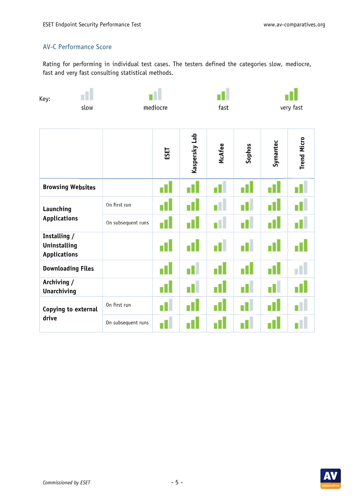## AV-C Performance Score

Rating for performing in individual test cases. The testers defined the categories slow, mediocre, fast and very fast consulting statistical methods.

| Key:                                                       | slow | mediocre           |      | fast          |        | very fast |          |                    |
|------------------------------------------------------------|------|--------------------|------|---------------|--------|-----------|----------|--------------------|
|                                                            |      |                    | ESET | Kaspersky Lab | McAfee | Sophos    | Symantec | <b>Trend Micro</b> |
| <b>Browsing Websites</b>                                   |      |                    |      |               |        |           |          |                    |
| Launching<br><b>Applications</b>                           |      | On first run       |      |               |        |           |          |                    |
|                                                            |      | On subsequent runs | пH   | П             | T      | п<br>L    | П        |                    |
| Installing /<br><b>Uninstalling</b><br><b>Applications</b> |      |                    |      |               |        | D         |          |                    |
| <b>Downloading Files</b>                                   |      |                    |      | П             |        | -11       |          |                    |
| Archiving /<br><b>Unarchiving</b>                          |      |                    |      | П             |        | П         |          |                    |
| Copying to external<br>drive                               |      | On first run       |      |               |        |           |          |                    |
|                                                            |      | On subsequent runs |      |               |        |           |          |                    |

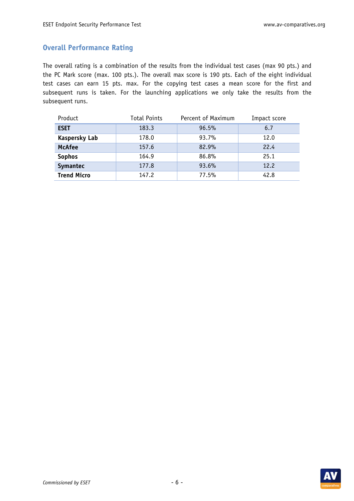### **Overall Performance Rating**

The overall rating is a combination of the results from the individual test cases (max 90 pts.) and the PC Mark score (max. 100 pts.). The overall max score is 190 pts. Each of the eight individual test cases can earn 15 pts. max. For the copying test cases a mean score for the first and subsequent runs is taken. For the launching applications we only take the results from the subsequent runs.

| Product              | <b>Total Points</b> | Percent of Maximum | Impact score |
|----------------------|---------------------|--------------------|--------------|
| <b>ESET</b>          | 183.3               | 96.5%              | 6.7          |
| <b>Kaspersky Lab</b> | 178.0               | 93.7%              | 12.0         |
| <b>McAfee</b>        | 157.6               | 82.9%              | 22.4         |
| <b>Sophos</b>        | 164.9               | 86.8%              | 25.1         |
| Symantec             | 177.8               | 93.6%              | 12.2         |
| <b>Trend Micro</b>   | 147.2               | 77.5%              | 42.8         |